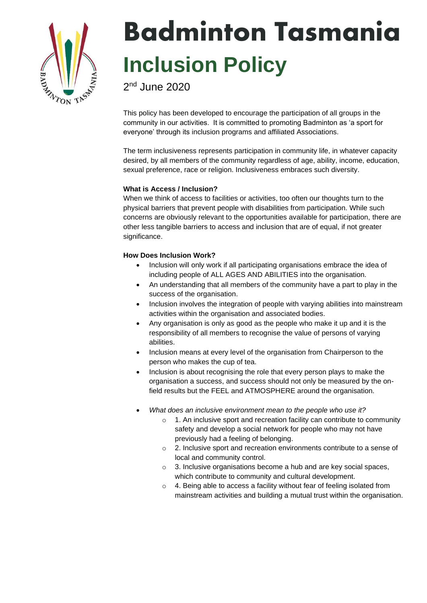

# Badminton Tasmania **Inclusion Policy**

2<sup>nd</sup> June 2020

This policy has been developed to encourage the participation of all groups in the community in our activities. It is committed to promoting Badminton as 'a sport for everyone' through its inclusion programs and affiliated Associations.

The term inclusiveness represents participation in community life, in whatever capacity desired, by all members of the community regardless of age, ability, income, education, sexual preference, race or religion. Inclusiveness embraces such diversity.

## **What is Access / Inclusion?**

When we think of access to facilities or activities, too often our thoughts turn to the physical barriers that prevent people with disabilities from participation. While such concerns are obviously relevant to the opportunities available for participation, there are other less tangible barriers to access and inclusion that are of equal, if not greater significance.

### **How Does Inclusion Work?**

- Inclusion will only work if all participating organisations embrace the idea of including people of ALL AGES AND ABILITIES into the organisation.
- An understanding that all members of the community have a part to play in the success of the organisation.
- Inclusion involves the integration of people with varying abilities into mainstream activities within the organisation and associated bodies.
- Any organisation is only as good as the people who make it up and it is the responsibility of all members to recognise the value of persons of varying abilities.
- Inclusion means at every level of the organisation from Chairperson to the person who makes the cup of tea.
- Inclusion is about recognising the role that every person plays to make the organisation a success, and success should not only be measured by the onfield results but the FEEL and ATMOSPHERE around the organisation.
- *What does an inclusive environment mean to the people who use it?* 
	- $\circ$  1. An inclusive sport and recreation facility can contribute to community safety and develop a social network for people who may not have previously had a feeling of belonging.
	- $\circ$  2. Inclusive sport and recreation environments contribute to a sense of local and community control.
	- o 3. Inclusive organisations become a hub and are key social spaces, which contribute to community and cultural development.
	- o 4. Being able to access a facility without fear of feeling isolated from mainstream activities and building a mutual trust within the organisation.